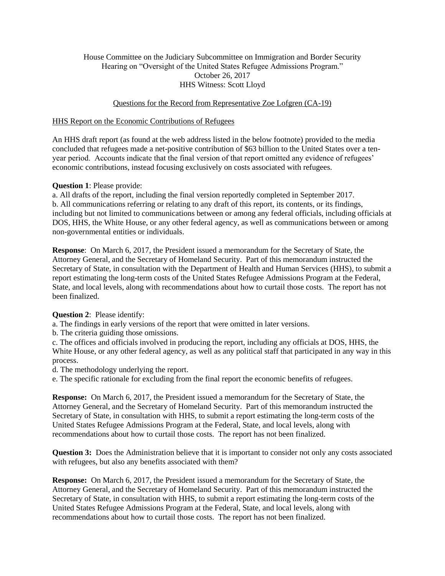# House Committee on the Judiciary Subcommittee on Immigration and Border Security Hearing on "Oversight of the United States Refugee Admissions Program." October 26, 2017 HHS Witness: Scott Lloyd

# Questions for the Record from Representative Zoe Lofgren (CA-19)

#### HHS Report on the Economic Contributions of Refugees

An HHS draft report (as found at the web address listed in the below footnote) provided to the media concluded that refugees made a net-positive contribution of \$63 billion to the United States over a tenyear period. Accounts indicate that the final version of that report omitted any evidence of refugees' economic contributions, instead focusing exclusively on costs associated with refugees.

# **Question 1**: Please provide:

a. All drafts of the report, including the final version reportedly completed in September 2017. b. All communications referring or relating to any draft of this report, its contents, or its findings, including but not limited to communications between or among any federal officials, including officials at DOS, HHS, the White House, or any other federal agency, as well as communications between or among non-governmental entities or individuals.

**Response**: On March 6, 2017, the President issued a memorandum for the Secretary of State, the Attorney General, and the Secretary of Homeland Security. Part of this memorandum instructed the Secretary of State, in consultation with the Department of Health and Human Services (HHS), to submit a report estimating the long-term costs of the United States Refugee Admissions Program at the Federal, State, and local levels, along with recommendations about how to curtail those costs. The report has not been finalized.

# **Question 2**: Please identify:

a. The findings in early versions of the report that were omitted in later versions.

b. The criteria guiding those omissions.

c. The offices and officials involved in producing the report, including any officials at DOS, HHS, the White House, or any other federal agency, as well as any political staff that participated in any way in this process.

d. The methodology underlying the report.

e. The specific rationale for excluding from the final report the economic benefits of refugees.

**Response:** On March 6, 2017, the President issued a memorandum for the Secretary of State, the Attorney General, and the Secretary of Homeland Security. Part of this memorandum instructed the Secretary of State, in consultation with HHS, to submit a report estimating the long-term costs of the United States Refugee Admissions Program at the Federal, State, and local levels, along with recommendations about how to curtail those costs. The report has not been finalized.

**Question 3:** Does the Administration believe that it is important to consider not only any costs associated with refugees, but also any benefits associated with them?

**Response:** On March 6, 2017, the President issued a memorandum for the Secretary of State, the Attorney General, and the Secretary of Homeland Security. Part of this memorandum instructed the Secretary of State, in consultation with HHS, to submit a report estimating the long-term costs of the United States Refugee Admissions Program at the Federal, State, and local levels, along with recommendations about how to curtail those costs. The report has not been finalized.